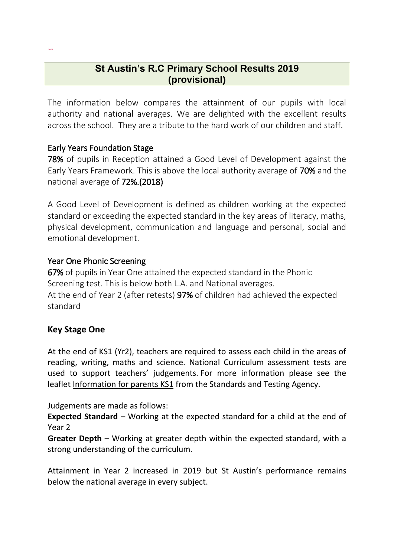# **St Austin's R.C Primary School Results 2019 (provisional)**

The information below compares the attainment of our pupils with local authority and national averages. We are delighted with the excellent results across the school. They are a tribute to the hard work of our children and staff.

# Early Years Foundation Stage

SATS

78% of pupils in Reception attained a Good Level of Development against the Early Years Framework. This is above the local authority average of 70% and the national average of 72%.(2018)

A Good Level of Development is defined as children working at the expected standard or exceeding the expected standard in the key areas of literacy, maths, physical development, communication and language and personal, social and emotional development.

### Year One Phonic Screening

67% of pupils in Year One attained the expected standard in the Phonic Screening test. This is below both L.A. and National averages. At the end of Year 2 (after retests) 97% of children had achieved the expected

standard

# **Key Stage One**

At the end of KS1 (Yr2), teachers are required to assess each child in the areas of reading, writing, maths and science. National Curriculum assessment tests are used to support teachers' judgements. For more information please see the leaflet [Information for parents KS1](https://www.gov.uk/government/publications/2017-national-curriculum-assessment-results-at-the-end-of-key-stage-1-information-for-parents) from the Standards and Testing Agency.

Judgements are made as follows:

**Expected Standard** – Working at the expected standard for a child at the end of Year 2

**Greater Depth** – Working at greater depth within the expected standard, with a strong understanding of the curriculum.

Attainment in Year 2 increased in 2019 but St Austin's performance remains below the national average in every subject.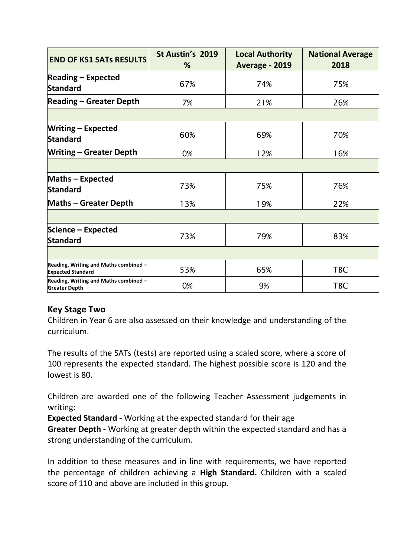| <b>END OF KS1 SATs RESULTS</b>                                    | St Austin's 2019<br>% | <b>Local Authority</b><br>Average - 2019 | <b>National Average</b><br>2018 |
|-------------------------------------------------------------------|-----------------------|------------------------------------------|---------------------------------|
| $\left  \text{Reading} - \text{Expected} \right $<br>Standard     | 67%                   | 74%                                      | 75%                             |
| <b>Reading - Greater Depth</b>                                    | 7%                    | 21%                                      | 26%                             |
|                                                                   |                       |                                          |                                 |
| <b>Writing - Expected</b><br>Standard                             | 60%                   | 69%                                      | 70%                             |
| <b>Writing - Greater Depth</b>                                    | 0%                    | 12%                                      | 16%                             |
|                                                                   |                       |                                          |                                 |
| <b>Maths - Expected</b><br>Standard                               | 73%                   | 75%                                      | 76%                             |
| <b>Maths - Greater Depth</b>                                      | 13%                   | 19%                                      | 22%                             |
|                                                                   |                       |                                          |                                 |
| Science - Expected<br>Standard                                    | 73%                   | 79%                                      | 83%                             |
|                                                                   |                       |                                          |                                 |
| Reading, Writing and Maths combined -<br><b>Expected Standard</b> | 53%                   | 65%                                      | <b>TBC</b>                      |
| Reading, Writing and Maths combined -<br><b>Greater Depth</b>     | 0%                    | 9%                                       | <b>TBC</b>                      |

# **Key Stage Two**

Children in Year 6 are also assessed on their knowledge and understanding of the curriculum.

The results of the SATs (tests) are reported using a scaled score, where a score of 100 represents the expected standard. The highest possible score is 120 and the lowest is 80.

Children are awarded one of the following Teacher Assessment judgements in writing:

**Expected Standard -** Working at the expected standard for their age

**Greater Depth -** Working at greater depth within the expected standard and has a strong understanding of the curriculum.

In addition to these measures and in line with requirements, we have reported the percentage of children achieving a **High Standard.** Children with a scaled score of 110 and above are included in this group.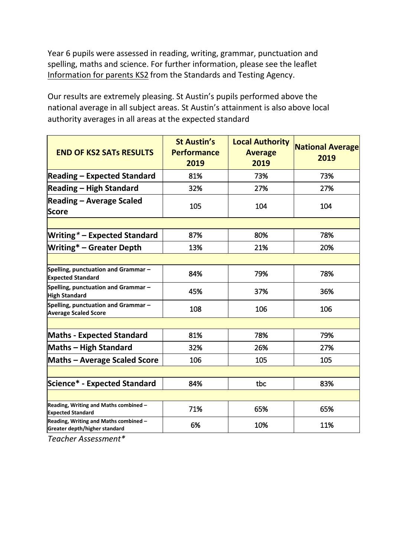Year 6 pupils were assessed in reading, writing, grammar, punctuation and spelling, maths and science. For further information, please see the leaflet [Information for parents KS2](https://www.gov.uk/government/publications/2017-national-curriculum-assessment-results-at-the-end-of-key-stage-2-information-for-parents) from the Standards and Testing Agency.

Our results are extremely pleasing. St Austin's pupils performed above the national average in all subject areas. St Austin's attainment is also above local authority averages in all areas at the expected standard

| <b>END OF KS2 SATS RESULTS</b>                                         | <b>St Austin's</b><br><b>Performance</b><br>2019 | <b>Local Authority</b><br><b>Average</b><br>2019 | <b>National Average</b><br>2019 |
|------------------------------------------------------------------------|--------------------------------------------------|--------------------------------------------------|---------------------------------|
| <b>Reading - Expected Standard</b>                                     | 81%                                              | 73%                                              | 73%                             |
| <b>Reading – High Standard</b>                                         | 32%                                              | 27%                                              | 27%                             |
| <b>Reading - Average Scaled</b><br><b>Score</b>                        | 105                                              | 104                                              | 104                             |
|                                                                        |                                                  |                                                  |                                 |
| <b>Writing*</b> - Expected Standard                                    | 87%                                              | 80%                                              | 78%                             |
| <b>Writing* - Greater Depth</b>                                        | 13%                                              | 21%                                              | 20%                             |
|                                                                        |                                                  |                                                  |                                 |
| Spelling, punctuation and Grammar-<br><b>Expected Standard</b>         | 84%                                              | 79%                                              | 78%                             |
| Spelling, punctuation and Grammar-<br><b>High Standard</b>             | 45%                                              | 37%                                              | 36%                             |
| Spelling, punctuation and Grammar-<br><b>Average Scaled Score</b>      | 108                                              | 106                                              | 106                             |
|                                                                        |                                                  |                                                  |                                 |
| <b>Maths - Expected Standard</b>                                       | 81%                                              | 78%                                              | 79%                             |
| <b>Maths - High Standard</b>                                           | 32%                                              | 26%                                              | 27%                             |
| <b>Maths - Average Scaled Score</b>                                    | 106                                              | 105                                              | 105                             |
|                                                                        |                                                  |                                                  |                                 |
| <b>Science* - Expected Standard</b>                                    | 84%                                              | tbc                                              | 83%                             |
|                                                                        |                                                  |                                                  |                                 |
| Reading, Writing and Maths combined -<br><b>Expected Standard</b>      | 71%                                              | 65%                                              | 65%                             |
| Reading, Writing and Maths combined -<br>Greater depth/higher standard | 6%                                               | 10%                                              | 11%                             |

*Teacher Assessment\**